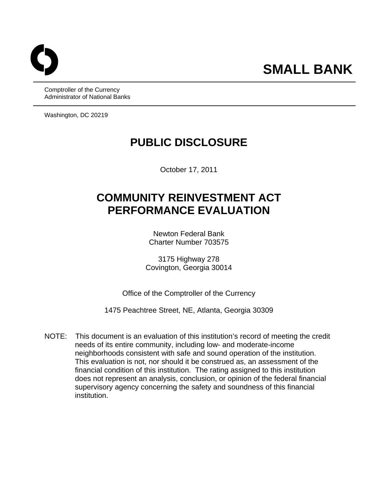Comptroller of the Currency Administrator of National Banks

Washington, DC 20219

## **PUBLIC DISCLOSURE**

October 17, 2011

# **COMMUNITY REINVESTMENT ACT PERFORMANCE EVALUATION**

Newton Federal Bank Charter Number 703575

3175 Highway 278 Covington, Georgia 30014

Office of the Comptroller of the Currency

1475 Peachtree Street, NE, Atlanta, Georgia 30309

NOTE: This document is an evaluation of this institution's record of meeting the credit needs of its entire community, including low- and moderate-income neighborhoods consistent with safe and sound operation of the institution. This evaluation is not, nor should it be construed as, an assessment of the financial condition of this institution. The rating assigned to this institution does not represent an analysis, conclusion, or opinion of the federal financial supervisory agency concerning the safety and soundness of this financial institution.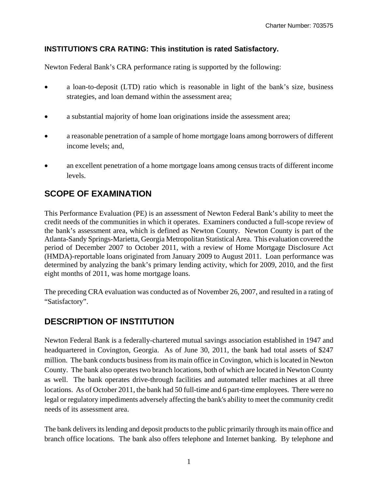#### **INSTITUTION'S CRA RATING: This institution is rated Satisfactory.**

Newton Federal Bank's CRA performance rating is supported by the following:

- a loan-to-deposit (LTD) ratio which is reasonable in light of the bank's size, business strategies, and loan demand within the assessment area;
- a substantial majority of home loan originations inside the assessment area;
- a reasonable penetration of a sample of home mortgage loans among borrowers of different income levels; and,
- an excellent penetration of a home mortgage loans among census tracts of different income levels.

## **SCOPE OF EXAMINATION**

This Performance Evaluation (PE) is an assessment of Newton Federal Bank's ability to meet the credit needs of the communities in which it operates. Examiners conducted a full-scope review of the bank's assessment area, which is defined as Newton County. Newton County is part of the Atlanta-Sandy Springs-Marietta, Georgia Metropolitan Statistical Area. This evaluation covered the period of December 2007 to October 2011, with a review of Home Mortgage Disclosure Act (HMDA)-reportable loans originated from January 2009 to August 2011. Loan performance was determined by analyzing the bank's primary lending activity, which for 2009, 2010, and the first eight months of 2011, was home mortgage loans.

The preceding CRA evaluation was conducted as of November 26, 2007, and resulted in a rating of "Satisfactory".

## **DESCRIPTION OF INSTITUTION**

Newton Federal Bank is a federally-chartered mutual savings association established in 1947 and headquartered in Covington, Georgia. As of June 30, 2011, the bank had total assets of \$247 million. The bank conducts business from its main office in Covington, which is located in Newton County. The bank also operates two branch locations, both of which are located in Newton County as well. The bank operates drive-through facilities and automated teller machines at all three locations. As of October 2011, the bank had 50 full-time and 6 part-time employees. There were no legal or regulatory impediments adversely affecting the bank's ability to meet the community credit needs of its assessment area.

The bank delivers its lending and deposit products to the public primarily through its main office and branch office locations. The bank also offers telephone and Internet banking. By telephone and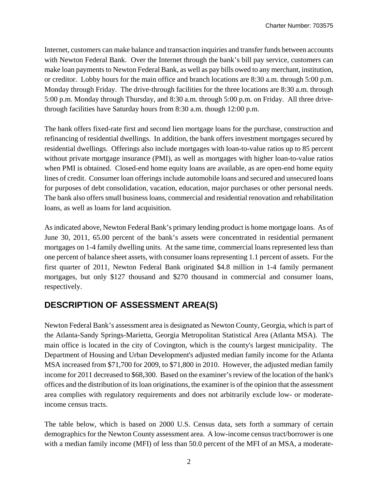Internet, customers can make balance and transaction inquiries and transfer funds between accounts with Newton Federal Bank. Over the Internet through the bank's bill pay service, customers can make loan payments to Newton Federal Bank, as well as pay bills owed to any merchant, institution, or creditor. Lobby hours for the main office and branch locations are 8:30 a.m. through 5:00 p.m. Monday through Friday. The drive-through facilities for the three locations are 8:30 a.m. through 5:00 p.m. Monday through Thursday, and 8:30 a.m. through 5:00 p.m. on Friday. All three drivethrough facilities have Saturday hours from 8:30 a.m. though 12:00 p.m.

The bank offers fixed-rate first and second lien mortgage loans for the purchase, construction and refinancing of residential dwellings. In addition, the bank offers investment mortgages secured by residential dwellings. Offerings also include mortgages with loan-to-value ratios up to 85 percent without private mortgage insurance (PMI), as well as mortgages with higher loan-to-value ratios when PMI is obtained. Closed-end home equity loans are available, as are open-end home equity lines of credit. Consumer loan offerings include automobile loans and secured and unsecured loans for purposes of debt consolidation, vacation, education, major purchases or other personal needs. The bank also offers small business loans, commercial and residential renovation and rehabilitation loans, as well as loans for land acquisition.

As indicated above, Newton Federal Bank's primary lending product is home mortgage loans. As of June 30, 2011, 65.00 percent of the bank's assets were concentrated in residential permanent mortgages on 1-4 family dwelling units. At the same time, commercial loans represented less than one percent of balance sheet assets, with consumer loans representing 1.1 percent of assets. For the first quarter of 2011, Newton Federal Bank originated \$4.8 million in 1-4 family permanent mortgages, but only \$127 thousand and \$270 thousand in commercial and consumer loans, respectively.

## **DESCRIPTION OF ASSESSMENT AREA(S)**

Newton Federal Bank's assessment area is designated as Newton County, Georgia, which is part of the Atlanta-Sandy Springs-Marietta, Georgia Metropolitan Statistical Area (Atlanta MSA). The main office is located in the city of Covington, which is the county's largest municipality. The Department of Housing and Urban Development's adjusted median family income for the Atlanta MSA increased from \$71,700 for 2009, to \$71,800 in 2010. However, the adjusted median family income for 2011 decreased to \$68,300. Based on the examiner's review of the location of the bank's offices and the distribution of its loan originations, the examiner is of the opinion that the assessment area complies with regulatory requirements and does not arbitrarily exclude low- or moderateincome census tracts.

The table below, which is based on 2000 U.S. Census data, sets forth a summary of certain demographics for the Newton County assessment area. A low-income census tract/borrower is one with a median family income (MFI) of less than 50.0 percent of the MFI of an MSA, a moderate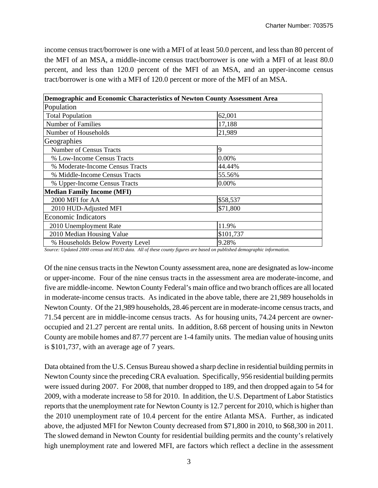income census tract/borrower is one with a MFI of at least 50.0 percent, and less than 80 percent of the MFI of an MSA, a middle-income census tract/borrower is one with a MFI of at least 80.0 percent, and less than 120.0 percent of the MFI of an MSA, and an upper-income census tract/borrower is one with a MFI of 120.0 percent or more of the MFI of an MSA.

| Demographic and Economic Characteristics of Newton County Assessment Area |           |
|---------------------------------------------------------------------------|-----------|
| Population                                                                |           |
| <b>Total Population</b>                                                   | 62,001    |
| <b>Number of Families</b>                                                 | 17,188    |
| Number of Households                                                      | 21,989    |
| Geographies                                                               |           |
| <b>Number of Census Tracts</b>                                            | 9         |
| % Low-Income Census Tracts                                                | 0.00%     |
| % Moderate-Income Census Tracts                                           | 44.44%    |
| % Middle-Income Census Tracts                                             | 55.56%    |
| % Upper-Income Census Tracts                                              | 0.00%     |
| <b>Median Family Income (MFI)</b>                                         |           |
| 2000 MFI for AA                                                           | \$58,537  |
| 2010 HUD-Adjusted MFI                                                     | \$71,800  |
| <b>Economic Indicators</b>                                                |           |
| 2010 Unemployment Rate                                                    | 11.9%     |
| 2010 Median Housing Value                                                 | \$101,737 |
| % Households Below Poverty Level                                          | 9.28%     |

*Source: Updated 2000 census and HUD data. All of these county figures are based on published demographic information.* 

Of the nine census tracts in the Newton County assessment area, none are designated as low-income or upper-income. Four of the nine census tracts in the assessment area are moderate-income, and five are middle-income. Newton County Federal's main office and two branch offices are all located in moderate-income census tracts. As indicated in the above table, there are 21,989 households in Newton County. Of the 21,989 households, 28.46 percent are in moderate-income census tracts, and 71.54 percent are in middle-income census tracts. As for housing units, 74.24 percent are owneroccupied and 21.27 percent are rental units. In addition, 8.68 percent of housing units in Newton County are mobile homes and 87.77 percent are 1-4 family units. The median value of housing units is \$101,737, with an average age of 7 years.

Data obtained from the U.S. Census Bureau showed a sharp decline in residential building permits in Newton County since the preceding CRA evaluation. Specifically, 956 residential building permits were issued during 2007. For 2008, that number dropped to 189, and then dropped again to 54 for 2009, with a moderate increase to 58 for 2010. In addition, the U.S. Department of Labor Statistics reports that the unemployment rate for Newton County is 12.7 percent for 2010, which is higher than the 2010 unemployment rate of 10.4 percent for the entire Atlanta MSA. Further, as indicated above, the adjusted MFI for Newton County decreased from \$71,800 in 2010, to \$68,300 in 2011. The slowed demand in Newton County for residential building permits and the county's relatively high unemployment rate and lowered MFI, are factors which reflect a decline in the assessment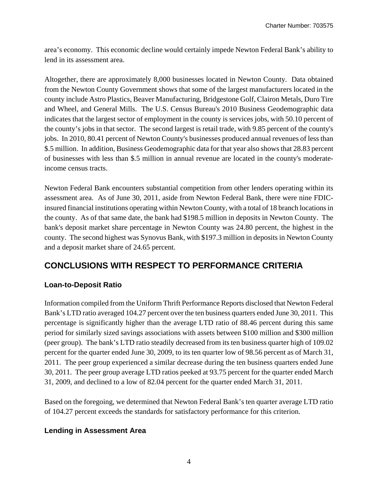area's economy. This economic decline would certainly impede Newton Federal Bank's ability to lend in its assessment area.

Altogether, there are approximately 8,000 businesses located in Newton County. Data obtained from the Newton County Government shows that some of the largest manufacturers located in the county include Astro Plastics, Beaver Manufacturing, Bridgestone Golf, Clairon Metals, Duro Tire and Wheel, and General Mills. The U.S. Census Bureau's 2010 Business Geodemographic data indicates that the largest sector of employment in the county is services jobs, with 50.10 percent of the county's jobs in that sector. The second largest is retail trade, with 9.85 percent of the county's jobs. In 2010, 80.41 percent of Newton County's businesses produced annual revenues of less than \$.5 million. In addition, Business Geodemographic data for that year also shows that 28.83 percent of businesses with less than \$.5 million in annual revenue are located in the county's moderateincome census tracts.

Newton Federal Bank encounters substantial competition from other lenders operating within its assessment area. As of June 30, 2011, aside from Newton Federal Bank, there were nine FDICinsured financial institutions operating within Newton County, with a total of 18 branch locations in the county. As of that same date, the bank had \$198.5 million in deposits in Newton County. The bank's deposit market share percentage in Newton County was 24.80 percent, the highest in the county. The second highest was Synovus Bank, with \$197.3 million in deposits in Newton County and a deposit market share of 24.65 percent.

## **CONCLUSIONS WITH RESPECT TO PERFORMANCE CRITERIA**

#### **Loan-to-Deposit Ratio**

Information compiled from the Uniform Thrift Performance Reports disclosed that Newton Federal Bank's LTD ratio averaged 104.27 percent over the ten business quarters ended June 30, 2011. This percentage is significantly higher than the average LTD ratio of 88.46 percent during this same period for similarly sized savings associations with assets between \$100 million and \$300 million (peer group). The bank's LTD ratio steadily decreased from its ten business quarter high of 109.02 percent for the quarter ended June 30, 2009, to its ten quarter low of 98.56 percent as of March 31, 2011. The peer group experienced a similar decrease during the ten business quarters ended June 30, 2011. The peer group average LTD ratios peeked at 93.75 percent for the quarter ended March 31, 2009, and declined to a low of 82.04 percent for the quarter ended March 31, 2011.

Based on the foregoing, we determined that Newton Federal Bank's ten quarter average LTD ratio of 104.27 percent exceeds the standards for satisfactory performance for this criterion.

#### **Lending in Assessment Area**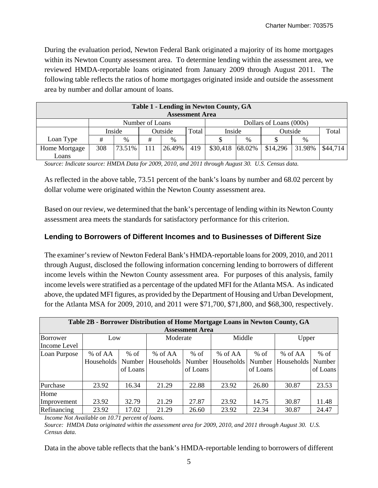During the evaluation period, Newton Federal Bank originated a majority of its home mortgages within its Newton County assessment area. To determine lending within the assessment area, we reviewed HMDA-reportable loans originated from January 2009 through August 2011. The following table reflects the ratios of home mortgages originated inside and outside the assessment area by number and dollar amount of loans.

| Table 1 - Lending in Newton County, GA |                 |               |                  |        |     |                         |        |          |        |          |
|----------------------------------------|-----------------|---------------|------------------|--------|-----|-------------------------|--------|----------|--------|----------|
| <b>Assessment Area</b>                 |                 |               |                  |        |     |                         |        |          |        |          |
|                                        | Number of Loans |               |                  |        |     | Dollars of Loans (000s) |        |          |        |          |
|                                        |                 | Inside        | Outside<br>Total |        |     | Inside                  |        | Outside  |        | Total    |
| Loan Type                              | #               | $\frac{0}{0}$ | #                | $\%$   |     |                         | $\%$   |          | %      |          |
| Home Mortgage                          | 308             | 73.51%        | 111              | 26.49% | 419 | \$30,418                | 68.02% | \$14,296 | 31.98% | \$44,714 |
| Loans                                  |                 |               |                  |        |     |                         |        |          |        |          |

*Source: Indicate source: HMDA Data for 2009, 2010, and 2011 through August 30. U.S. Census data.* 

As reflected in the above table, 73.51 percent of the bank's loans by number and 68.02 percent by dollar volume were originated within the Newton County assessment area.

Based on our review, we determined that the bank's percentage of lending within its Newton County assessment area meets the standards for satisfactory performance for this criterion.

#### **Lending to Borrowers of Different Incomes and to Businesses of Different Size**

The examiner's review of Newton Federal Bank's HMDA-reportable loans for 2009, 2010, and 2011 through August, disclosed the following information concerning lending to borrowers of different income levels within the Newton County assessment area. For purposes of this analysis, family income levels were stratified as a percentage of the updated MFI for the Atlanta MSA. As indicated above, the updated MFI figures, as provided by the Department of Housing and Urban Development, for the Atlanta MSA for 2009, 2010, and 2011 were \$71,700, \$71,800, and \$68,300, respectively.

| Table 2B - Borrower Distribution of Home Mortgage Loans in Newton County, GA |            |          |            |          |                   |          |                   |          |  |  |
|------------------------------------------------------------------------------|------------|----------|------------|----------|-------------------|----------|-------------------|----------|--|--|
| <b>Assessment Area</b>                                                       |            |          |            |          |                   |          |                   |          |  |  |
| Borrower                                                                     | Low        |          | Moderate   |          | Middle            |          | Upper             |          |  |  |
| Income Level                                                                 |            |          |            |          |                   |          |                   |          |  |  |
| Loan Purpose                                                                 | % of AA    | $%$ of   | % of AA    | $%$ of   | % of AA           | $%$ of   | % of AA           | $%$ of   |  |  |
|                                                                              | Households | Number   | Households | Number   | <b>Households</b> | Number   | <b>Households</b> | Number   |  |  |
|                                                                              |            | of Loans |            | of Loans |                   | of Loans |                   | of Loans |  |  |
|                                                                              |            |          |            |          |                   |          |                   |          |  |  |
| Purchase                                                                     | 23.92      | 16.34    | 21.29      | 22.88    | 23.92             | 26.80    | 30.87             | 23.53    |  |  |
| Home                                                                         |            |          |            |          |                   |          |                   |          |  |  |
| Improvement                                                                  | 23.92      | 32.79    | 21.29      | 27.87    | 23.92             | 14.75    | 30.87             | 11.48    |  |  |
| Refinancing                                                                  | 23.92      | 17.02    | 21.29      | 26.60    | 23.92             | 22.34    | 30.87             | 24.47    |  |  |

*Income Not Available on 10.71 percent of loans.* 

*Source: HMDA Data originated within the assessment area for 2009, 2010, and 2011 through August 30. U.S. Census data.* 

Data in the above table reflects that the bank's HMDA-reportable lending to borrowers of different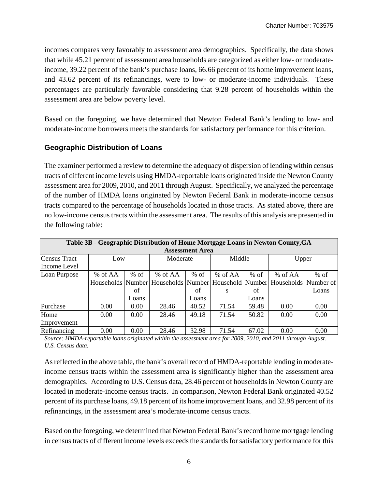incomes compares very favorably to assessment area demographics. Specifically, the data shows that while 45.21 percent of assessment area households are categorized as either low- or moderateincome, 39.22 percent of the bank's purchase loans, 66.66 percent of its home improvement loans, and 43.62 percent of its refinancings, were to low- or moderate-income individuals. These percentages are particularly favorable considering that 9.28 percent of households within the assessment area are below poverty level.

Based on the foregoing, we have determined that Newton Federal Bank's lending to low- and moderate-income borrowers meets the standards for satisfactory performance for this criterion.

#### **Geographic Distribution of Loans**

The examiner performed a review to determine the adequacy of dispersion of lending within census tracts of different income levels using HMDA-reportable loans originated inside the Newton County assessment area for 2009, 2010, and 2011 through August. Specifically, we analyzed the percentage of the number of HMDA loans originated by Newton Federal Bank in moderate-income census tracts compared to the percentage of households located in those tracts. As stated above, there are no low-income census tracts within the assessment area. The results of this analysis are presented in the following table:

| Table 3B - Geographic Distribution of Home Mortgage Loans in Newton County, GA |         |        |          |        |         |        |                                                                                       |        |  |  |  |
|--------------------------------------------------------------------------------|---------|--------|----------|--------|---------|--------|---------------------------------------------------------------------------------------|--------|--|--|--|
| <b>Assessment Area</b>                                                         |         |        |          |        |         |        |                                                                                       |        |  |  |  |
| Census Tract                                                                   | Low     |        | Moderate |        | Middle  |        | Upper                                                                                 |        |  |  |  |
| Income Level                                                                   |         |        |          |        |         |        |                                                                                       |        |  |  |  |
| Loan Purpose                                                                   | % of AA | $%$ of | % of AA  | $%$ of | % of AA | $%$ of | % of AA                                                                               | $%$ of |  |  |  |
|                                                                                |         |        |          |        |         |        | Households Number   Households   Number   Household   Number   Households   Number of |        |  |  |  |
|                                                                                |         | οf     |          | of     | S       | of     |                                                                                       | Loans  |  |  |  |
|                                                                                |         | Loans  |          | Loans  |         | Loans  |                                                                                       |        |  |  |  |
| Purchase                                                                       | 0.00    | 0.00   | 28.46    | 40.52  | 71.54   | 59.48  | 0.00                                                                                  | 0.00   |  |  |  |
| Home                                                                           | 0.00    | 0.00   | 28.46    | 49.18  | 71.54   | 50.82  | 0.00                                                                                  | 0.00   |  |  |  |
| Improvement                                                                    |         |        |          |        |         |        |                                                                                       |        |  |  |  |
| Refinancing                                                                    | 0.00    | 0.00   | 28.46    | 32.98  | 71.54   | 67.02  | 0.00                                                                                  | 0.00   |  |  |  |

*Source: HMDA-reportable loans originated within the assessment area for 2009, 2010, and 2011 through August. U.S. Census data.* 

As reflected in the above table, the bank's overall record of HMDA-reportable lending in moderateincome census tracts within the assessment area is significantly higher than the assessment area demographics. According to U.S. Census data, 28.46 percent of households in Newton County are located in moderate-income census tracts. In comparison, Newton Federal Bank originated 40.52 percent of its purchase loans, 49.18 percent of its home improvement loans, and 32.98 percent of its refinancings, in the assessment area's moderate-income census tracts.

Based on the foregoing, we determined that Newton Federal Bank's record home mortgage lending in census tracts of different income levels exceeds the standards for satisfactory performance for this